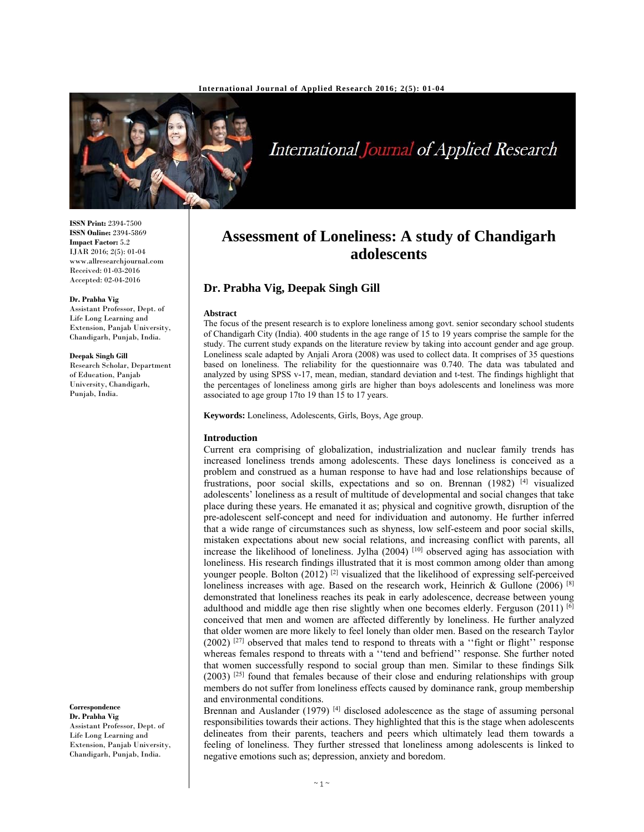

International Journal of Applied Research

# **Assessment of Loneliness: A study of Chandigarh adolescents**

# **Dr. Prabha Vig, Deepak Singh Gill**

#### **Abstract**

The focus of the present research is to explore loneliness among govt. senior secondary school students of Chandigarh City (India). 400 students in the age range of 15 to 19 years comprise the sample for the study. The current study expands on the literature review by taking into account gender and age group. Loneliness scale adapted by Anjali Arora (2008) was used to collect data. It comprises of 35 questions based on loneliness. The reliability for the questionnaire was 0.740. The data was tabulated and analyzed by using SPSS v-17, mean, median, standard deviation and t-test. The findings highlight that the percentages of loneliness among girls are higher than boys adolescents and loneliness was more associated to age group 17to 19 than 15 to 17 years.

**Keywords:** Loneliness, Adolescents, Girls, Boys, Age group.

#### **Introduction**

Current era comprising of globalization, industrialization and nuclear family trends has increased loneliness trends among adolescents. These days loneliness is conceived as a problem and construed as a human response to have had and lose relationships because of frustrations, poor social skills, expectations and so on. Brennan (1982)<sup>[4]</sup> visualized adolescents' loneliness as a result of multitude of developmental and social changes that take place during these years. He emanated it as; physical and cognitive growth, disruption of the pre-adolescent self-concept and need for individuation and autonomy. He further inferred that a wide range of circumstances such as shyness, low self-esteem and poor social skills, mistaken expectations about new social relations, and increasing conflict with parents, all increase the likelihood of loneliness. Jylha  $(2004)$  [10] observed aging has association with loneliness. His research findings illustrated that it is most common among older than among younger people. Bolton  $(2012)$  <sup>[2]</sup> visualized that the likelihood of expressing self-perceived loneliness increases with age. Based on the research work, Heinrich & Gullone (2006) <sup>[8]</sup> demonstrated that loneliness reaches its peak in early adolescence, decrease between young adulthood and middle age then rise slightly when one becomes elderly. Ferguson  $(2011)$  [6] conceived that men and women are affected differently by loneliness. He further analyzed that older women are more likely to feel lonely than older men. Based on the research Taylor (2002) [27] observed that males tend to respond to threats with a ''fight or flight'' response whereas females respond to threats with a "tend and befriend" response. She further noted that women successfully respond to social group than men. Similar to these findings Silk  $(2003)$   $[25]$  found that females because of their close and enduring relationships with group members do not suffer from loneliness effects caused by dominance rank, group membership and environmental conditions.

Brennan and Auslander (1979)<sup>[4]</sup> disclosed adolescence as the stage of assuming personal responsibilities towards their actions. They highlighted that this is the stage when adolescents delineates from their parents, teachers and peers which ultimately lead them towards a feeling of loneliness. They further stressed that loneliness among adolescents is linked to negative emotions such as; depression, anxiety and boredom.

**ISSN Print:** 2394-7500 **ISSN Online:** 2394-5869 **Impact Factor:** 5.2 IJAR 2016; 2(5): 01-04 www.allresearchjournal.com Received: 01-03-2016 Accepted: 02-04-2016

#### **Dr. Prabha Vig**

Assistant Professor, Dept. of Life Long Learning and Extension, Panjab University, Chandigarh, Punjab, India.

#### **Deepak Singh Gill**

Research Scholar, Department of Education, Panjab University, Chandigarh, Punjab, India.

**Correspondence Dr. Prabha Vig** 

Assistant Professor, Dept. of Life Long Learning and Extension, Panjab University, Chandigarh, Punjab, India.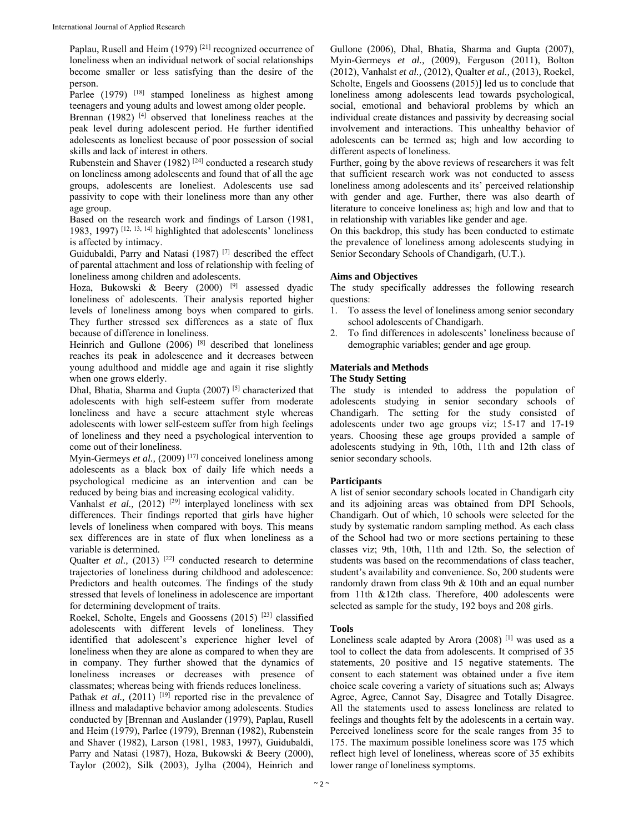Paplau, Rusell and Heim (1979)<sup>[21]</sup> recognized occurrence of loneliness when an individual network of social relationships become smaller or less satisfying than the desire of the person.

Parlee (1979) <sup>[18]</sup> stamped loneliness as highest among teenagers and young adults and lowest among older people.

Brennan (1982)<sup>[4]</sup> observed that loneliness reaches at the peak level during adolescent period. He further identified adolescents as loneliest because of poor possession of social skills and lack of interest in others.

Rubenstein and Shaver (1982)  $[24]$  conducted a research study on loneliness among adolescents and found that of all the age groups, adolescents are loneliest. Adolescents use sad passivity to cope with their loneliness more than any other age group.

Based on the research work and findings of Larson (1981, 1983, 1997)  $[12, 13, 14]$  highlighted that adolescents' loneliness is affected by intimacy.

Guidubaldi, Parry and Natasi (1987)<sup>[7]</sup> described the effect of parental attachment and loss of relationship with feeling of loneliness among children and adolescents.

Hoza, Bukowski & Beery (2000) [9] assessed dyadic loneliness of adolescents. Their analysis reported higher levels of loneliness among boys when compared to girls. They further stressed sex differences as a state of flux because of difference in loneliness.

Heinrich and Gullone (2006)<sup>[8]</sup> described that loneliness reaches its peak in adolescence and it decreases between young adulthood and middle age and again it rise slightly when one grows elderly.

Dhal, Bhatia, Sharma and Gupta (2007) [5] characterized that adolescents with high self-esteem suffer from moderate loneliness and have a secure attachment style whereas adolescents with lower self-esteem suffer from high feelings of loneliness and they need a psychological intervention to come out of their loneliness.

Myin-Germeys et al., (2009)<sup>[17]</sup> conceived loneliness among adolescents as a black box of daily life which needs a psychological medicine as an intervention and can be reduced by being bias and increasing ecological validity.

Vanhalst *et al.*, (2012)<sup>[29]</sup> interplayed loneliness with sex differences. Their findings reported that girls have higher levels of loneliness when compared with boys. This means sex differences are in state of flux when loneliness as a variable is determined.

Qualter *et al.*, (2013)<sup>[22]</sup> conducted research to determine trajectories of loneliness during childhood and adolescence: Predictors and health outcomes. The findings of the study stressed that levels of loneliness in adolescence are important for determining development of traits.

Roekel, Scholte, Engels and Goossens (2015) [23] classified adolescents with different levels of loneliness. They identified that adolescent's experience higher level of loneliness when they are alone as compared to when they are in company. They further showed that the dynamics of loneliness increases or decreases with presence of classmates; whereas being with friends reduces loneliness.

Pathak *et al.*, (2011) <sup>[19]</sup> reported rise in the prevalence of illness and maladaptive behavior among adolescents. Studies conducted by [Brennan and Auslander (1979), Paplau, Rusell and Heim (1979), Parlee (1979), Brennan (1982), Rubenstein and Shaver (1982), Larson (1981, 1983, 1997), Guidubaldi, Parry and Natasi (1987), Hoza, Bukowski & Beery (2000), Taylor (2002), Silk (2003), Jylha (2004), Heinrich and

Gullone (2006), Dhal, Bhatia, Sharma and Gupta (2007), Myin-Germeys *et al.,* (2009), Ferguson (2011), Bolton (2012), Vanhalst *et al.,* (2012), Qualter *et al.,* (2013), Roekel, Scholte, Engels and Goossens (2015)] led us to conclude that loneliness among adolescents lead towards psychological, social, emotional and behavioral problems by which an individual create distances and passivity by decreasing social involvement and interactions. This unhealthy behavior of adolescents can be termed as; high and low according to different aspects of loneliness.

Further, going by the above reviews of researchers it was felt that sufficient research work was not conducted to assess loneliness among adolescents and its' perceived relationship with gender and age. Further, there was also dearth of literature to conceive loneliness as; high and low and that to in relationship with variables like gender and age.

On this backdrop, this study has been conducted to estimate the prevalence of loneliness among adolescents studying in Senior Secondary Schools of Chandigarh, (U.T.).

# **Aims and Objectives**

The study specifically addresses the following research questions:

- 1. To assess the level of loneliness among senior secondary school adolescents of Chandigarh.
- 2. To find differences in adolescents' loneliness because of demographic variables; gender and age group.

# **Materials and Methods**

## **The Study Setting**

The study is intended to address the population of adolescents studying in senior secondary schools of Chandigarh. The setting for the study consisted of adolescents under two age groups viz; 15-17 and 17-19 years. Choosing these age groups provided a sample of adolescents studying in 9th, 10th, 11th and 12th class of senior secondary schools.

# **Participants**

A list of senior secondary schools located in Chandigarh city and its adjoining areas was obtained from DPI Schools, Chandigarh. Out of which, 10 schools were selected for the study by systematic random sampling method. As each class of the School had two or more sections pertaining to these classes viz; 9th, 10th, 11th and 12th. So, the selection of students was based on the recommendations of class teacher, student's availability and convenience. So, 200 students were randomly drawn from class 9th & 10th and an equal number from 11th &12th class. Therefore, 400 adolescents were selected as sample for the study, 192 boys and 208 girls.

#### **Tools**

Loneliness scale adapted by Arora (2008) [1] was used as a tool to collect the data from adolescents. It comprised of 35 statements, 20 positive and 15 negative statements. The consent to each statement was obtained under a five item choice scale covering a variety of situations such as; Always Agree, Agree, Cannot Say, Disagree and Totally Disagree. All the statements used to assess loneliness are related to feelings and thoughts felt by the adolescents in a certain way. Perceived loneliness score for the scale ranges from 35 to 175. The maximum possible loneliness score was 175 which reflect high level of loneliness, whereas score of 35 exhibits lower range of loneliness symptoms.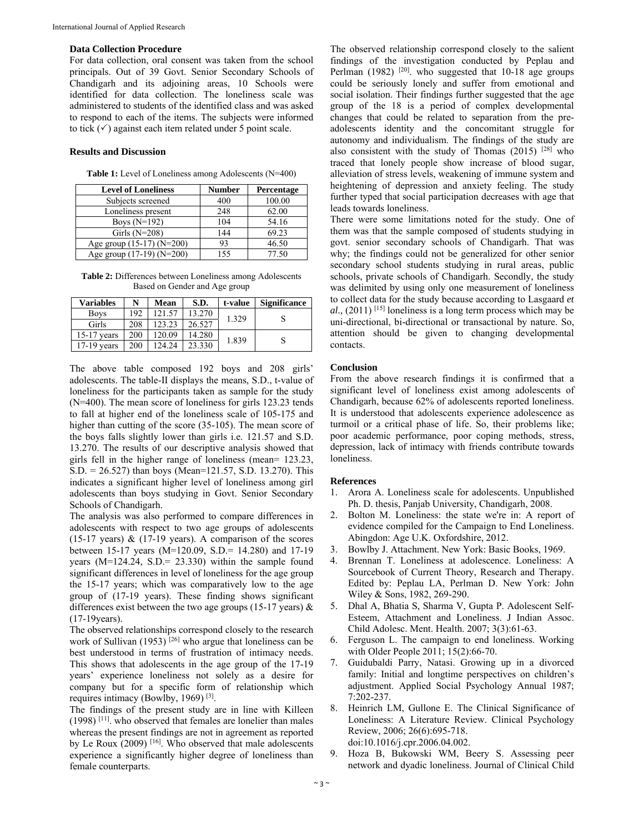#### **Data Collection Procedure**

For data collection, oral consent was taken from the school principals. Out of 39 Govt. Senior Secondary Schools of Chandigarh and its adjoining areas, 10 Schools were identified for data collection. The loneliness scale was administered to students of the identified class and was asked to respond to each of the items. The subjects were informed to tick  $(\checkmark)$  against each item related under 5 point scale.

#### **Results and Discussion**

**Table 1:** Level of Loneliness among Adolescents (N=400)

| <b>Level of Loneliness</b> | <b>Number</b> | Percentage |
|----------------------------|---------------|------------|
| Subjects screened          | 400           | 100.00     |
| Loneliness present         | 248           | 62.00      |
| Boys $(N=192)$             | 104           | 54.16      |
| Girls $(N=208)$            | 144           | 69.23      |
| Age group (15-17) (N=200)  | 93            | 46.50      |
| Age group (17-19) (N=200)  | 155           | 77.50      |

**Table 2:** Differences between Loneliness among Adolescents Based on Gender and Age group

| <b>Variables</b> | N   | Mean   | S.D.   | t-value | <b>Significance</b> |
|------------------|-----|--------|--------|---------|---------------------|
| <b>Boys</b>      | 192 | 121.57 | 13.270 | 1.329   |                     |
| Girls            | 208 | 123.23 | 26.527 |         |                     |
| $15-17$ years    | 200 | 120.09 | 14.280 | 1.839   |                     |
| $17-19$ years    | 200 | 24.24  | 23.330 |         |                     |

The above table composed 192 boys and 208 girls' adolescents. The table-II displays the means, S.D., t-value of loneliness for the participants taken as sample for the study (N=400). The mean score of loneliness for girls 123.23 tends to fall at higher end of the loneliness scale of 105-175 and higher than cutting of the score (35-105). The mean score of the boys falls slightly lower than girls i.e. 121.57 and S.D. 13.270. The results of our descriptive analysis showed that girls fell in the higher range of loneliness (mean= 123.23, S.D. = 26.527) than boys (Mean=121.57, S.D. 13.270). This indicates a significant higher level of loneliness among girl adolescents than boys studying in Govt. Senior Secondary Schools of Chandigarh.

The analysis was also performed to compare differences in adolescents with respect to two age groups of adolescents (15-17 years)  $&$  (17-19 years). A comparison of the scores between 15-17 years (M=120.09, S.D.= 14.280) and 17-19 years (M=124.24, S.D.= 23.330) within the sample found significant differences in level of loneliness for the age group the 15-17 years; which was comparatively low to the age group of (17-19 years). These finding shows significant differences exist between the two age groups (15-17 years)  $\&$ (17-19years).

The observed relationships correspond closely to the research work of Sullivan (1953)  $[26]$  who argue that loneliness can be best understood in terms of frustration of intimacy needs. This shows that adolescents in the age group of the 17-19 years' experience loneliness not solely as a desire for company but for a specific form of relationship which requires intimacy (Bowlby, 1969) [3].

The findings of the present study are in line with Killeen (1998) [11]. who observed that females are lonelier than males whereas the present findings are not in agreement as reported by Le Roux (2009) <sup>[16]</sup>. Who observed that male adolescents experience a significantly higher degree of loneliness than female counterparts.

The observed relationship correspond closely to the salient findings of the investigation conducted by Peplau and Perlman  $(1982)$  <sup>[20]</sup>. who suggested that 10-18 age groups could be seriously lonely and suffer from emotional and social isolation. Their findings further suggested that the age group of the 18 is a period of complex developmental changes that could be related to separation from the preadolescents identity and the concomitant struggle for autonomy and individualism. The findings of the study are also consistent with the study of Thomas  $(2015)$ <sup>[28]</sup> who traced that lonely people show increase of blood sugar, alleviation of stress levels, weakening of immune system and heightening of depression and anxiety feeling. The study further typed that social participation decreases with age that leads towards loneliness.

There were some limitations noted for the study. One of them was that the sample composed of students studying in govt. senior secondary schools of Chandigarh. That was why; the findings could not be generalized for other senior secondary school students studying in rural areas, public schools, private schools of Chandigarh. Secondly, the study was delimited by using only one measurement of loneliness to collect data for the study because according to Lasgaard *et*   $al$ ,  $(2011)$ <sup>[15]</sup> loneliness is a long term process which may be uni-directional, bi-directional or transactional by nature. So, attention should be given to changing developmental contacts.

## **Conclusion**

From the above research findings it is confirmed that a significant level of loneliness exist among adolescents of Chandigarh, because 62% of adolescents reported loneliness. It is understood that adolescents experience adolescence as turmoil or a critical phase of life. So, their problems like; poor academic performance, poor coping methods, stress, depression, lack of intimacy with friends contribute towards loneliness.

#### **References**

- 1. Arora A. Loneliness scale for adolescents. Unpublished Ph. D. thesis, Panjab University, Chandigarh, 2008.
- 2. Bolton M. Loneliness: the state we're in: A report of evidence compiled for the Campaign to End Loneliness. Abingdon: Age U.K. Oxfordshire, 2012.
- 3. Bowlby J. Attachment. New York: Basic Books, 1969.
- 4. Brennan T. Loneliness at adolescence. Loneliness: A Sourcebook of Current Theory, Research and Therapy. Edited by: Peplau LA, Perlman D. New York: John Wiley & Sons, 1982, 269-290.
- 5. Dhal A, Bhatia S, Sharma V, Gupta P. Adolescent Self-Esteem, Attachment and Loneliness. J Indian Assoc. Child Adolesc. Ment. Health. 2007; 3(3):61-63.
- 6. Ferguson L. The campaign to end loneliness. Working with Older People 2011; 15(2):66-70.
- 7. Guidubaldi Parry, Natasi. Growing up in a divorced family: Initial and longtime perspectives on children's adjustment. Applied Social Psychology Annual 1987; 7:202-237.
- 8. Heinrich LM, Gullone E. The Clinical Significance of Loneliness: A Literature Review. Clinical Psychology Review, 2006; 26(6):695-718. doi:10.1016/j.cpr.2006.04.002.
- 9. Hoza B, Bukowski WM, Beery S. Assessing peer network and dyadic loneliness. Journal of Clinical Child